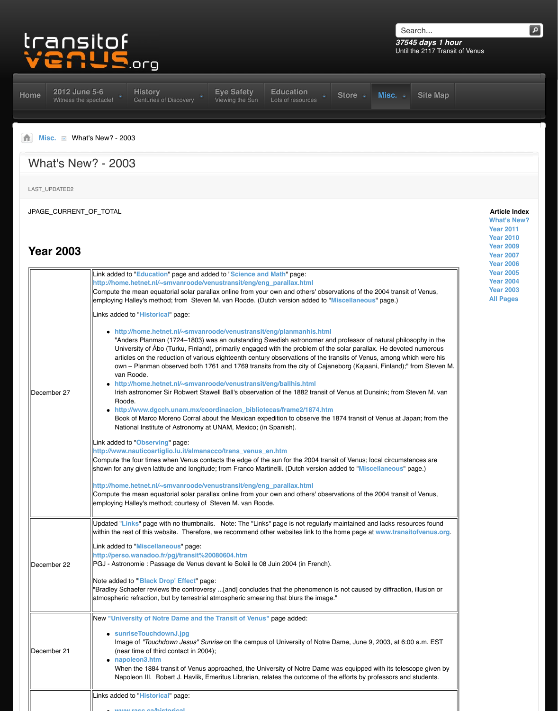|             | http://home.hetnet.nl/~smvanroode/venustransit/eng/eng_parallax.html<br>Compute the mean equatorial solar parallax online from your own and others' obser<br>employing Halley's method; from Steven M. van Roode. (Dutch version added to "I                                                                                                                                                                                                                                                                                                                                                                                                                                                                                                                                                                                                                                                                                                                                                                                                                                                                                                                                                                                                                                    |
|-------------|---------------------------------------------------------------------------------------------------------------------------------------------------------------------------------------------------------------------------------------------------------------------------------------------------------------------------------------------------------------------------------------------------------------------------------------------------------------------------------------------------------------------------------------------------------------------------------------------------------------------------------------------------------------------------------------------------------------------------------------------------------------------------------------------------------------------------------------------------------------------------------------------------------------------------------------------------------------------------------------------------------------------------------------------------------------------------------------------------------------------------------------------------------------------------------------------------------------------------------------------------------------------------------|
| December 27 | Links added to "Historical" page:<br>• http://home.hetnet.nl/~smvanroode/venustransit/eng/planmanhis.html<br>"Anders Planman (1724–1803) was an outstanding Swedish astronomer an<br>University of Abo (Turku, Finland), primarily engaged with the problem of the<br>articles on the reduction of various eighteenth century observations of the tra<br>own – Planman observed both 1761 and 1769 transits from the city of Cajar<br>van Roode.<br>http://home.hetnet.nl/~smvanroode/venustransit/eng/ballhis.html<br>Irish astronomer Sir Robwert Stawell Ball's observation of the 1882 transit of<br>Roode.<br>http://www.dgcch.unam.mx/coordinacion_bibliotecas/frame2/1874.htm<br>Book of Marco Moreno Corral about the Mexican expedition to observe the<br>National Institute of Astronomy at UNAM, Mexico; (in Spanish).<br>Link added to "Observing" page:<br>http://www.nauticoartiglio.lu.it/almanacco/trans_venus_en.htm<br>Compute the four times when Venus contacts the edge of the sun for the 2004 trans<br>shown for any given latitude and longitude; from Franco Martinelli. (Dutch version a<br>http://home.hetnet.nl/~smvanroode/venustransit/eng/eng_parallax.html<br>Compute the mean equatorial solar parallax online from your own and others' obser |
|             | employing Halley's method; courtesy of Steven M. van Roode.<br>Updated "Links" page with no thumbnails. Note: The "Links" page is not regularly                                                                                                                                                                                                                                                                                                                                                                                                                                                                                                                                                                                                                                                                                                                                                                                                                                                                                                                                                                                                                                                                                                                                 |
| December 22 | within the rest of this website. Therefore, we recommend other websites link to the<br>Link added to "Miscellaneous" page:<br>http://perso.wanadoo.fr/pgj/transit%20080604.htm<br>PGJ - Astronomie : Passage de Venus devant le Soleil le 08 Juin 2004 (in French).<br>Note added to "Black Drop' Effect" page:<br>"Bradley Schaefer reviews the controversy [and] concludes that the phenomenon<br>atmospheric refraction, but by terrestrial atmospheric smearing that blurs the image                                                                                                                                                                                                                                                                                                                                                                                                                                                                                                                                                                                                                                                                                                                                                                                        |
| December 21 | New "University of Notre Dame and the Transit of Venus" page added:<br>• sunriseTouchdownJ.jpg<br>Image of "Touchdown Jesus" Sunrise on the campus of University of Notre<br>(near time of third contact in 2004);<br>napoleon3.htm<br>When the 1884 transit of Venus approached, the University of Notre Dame v<br>Napoleon III. Robert J. Havlik, Emeritus Librarian, relates the outcome of the                                                                                                                                                                                                                                                                                                                                                                                                                                                                                                                                                                                                                                                                                                                                                                                                                                                                              |
|             | Links added to "Historical" page:                                                                                                                                                                                                                                                                                                                                                                                                                                                                                                                                                                                                                                                                                                                                                                                                                                                                                                                                                                                                                                                                                                                                                                                                                                               |
|             |                                                                                                                                                                                                                                                                                                                                                                                                                                                                                                                                                                                                                                                                                                                                                                                                                                                                                                                                                                                                                                                                                                                                                                                                                                                                                 |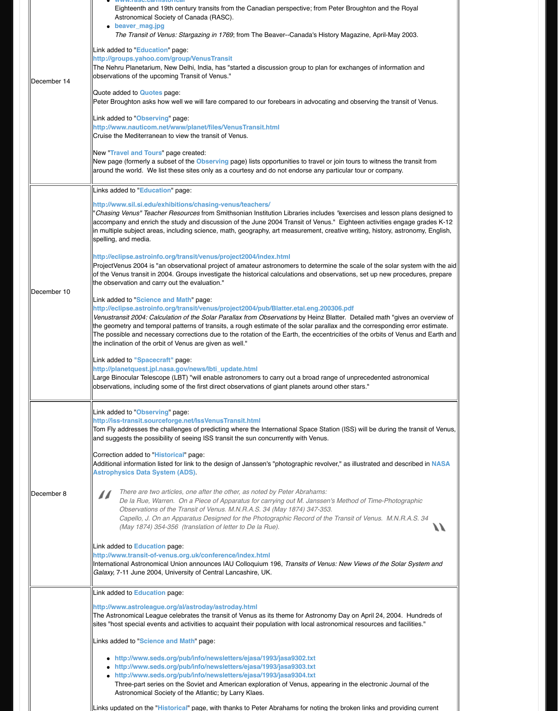|             | the observation and carry out the evaluation."                                                                                                                                                                                                                                                                                                                                                                                                                                                                                                                                                                                                                                                                                              |
|-------------|---------------------------------------------------------------------------------------------------------------------------------------------------------------------------------------------------------------------------------------------------------------------------------------------------------------------------------------------------------------------------------------------------------------------------------------------------------------------------------------------------------------------------------------------------------------------------------------------------------------------------------------------------------------------------------------------------------------------------------------------|
| December 10 | Link added to "Science and Math" page:<br>http://eclipse.astroinfo.org/transit/venus/project2004/pub/Blatter.etal.eng.2003<br>Venustransit 2004: Calculation of the Solar Parallax from Observations by Heinz Bla<br>the geometry and temporal patterns of transits, a rough estimate of the solar paralla<br>The possible and necessary corrections due to the rotation of the Earth, the eccentr<br>the inclination of the orbit of Venus are given as well."<br>Link added to "Spacecraft" page:<br>http://planetquest.jpl.nasa.gov/news/lbti_update.html<br>Large Binocular Telescope (LBT) "will enable astronomers to carry out a broad rang<br>observations, including some of the first direct observations of giant planets around |
|             | Link added to "Observing" page:<br>http://iss-transit.sourceforge.net/IssVenusTransit.html<br>Tom Fly addresses the challenges of predicting where the International Space Stati<br>and suggests the possibility of seeing ISS transit the sun concurrently with Venus.<br>Correction added to "Historical" page:<br>Additional information listed for link to the design of Janssen's "photographic revolve<br><b>Astrophysics Data System (ADS)</b>                                                                                                                                                                                                                                                                                       |
| December 8  | There are two articles, one after the other, as noted by Peter Abrahams:<br>De la Rue, Warren. On a Piece of Apparatus for carrying out M. Janssen's<br>Observations of the Transit of Venus. M.N.R.A.S. 34 (May 1874) 347-353.<br>Capello, J. On an Apparatus Designed for the Photographic Record of the<br>(May 1874) 354-356 (translation of letter to De la Rue).                                                                                                                                                                                                                                                                                                                                                                      |
|             | Link added to Education page:<br>http://www.transit-of-venus.org.uk/conference/index.html<br>International Astronomical Union announces IAU Colloquium 196, Transits of Venus<br>Galaxy, 7-11 June 2004, University of Central Lancashire, UK.                                                                                                                                                                                                                                                                                                                                                                                                                                                                                              |
|             | Link added to <b>Education</b> page:<br>http://www.astroleague.org/al/astroday/astroday.html<br>The Astronomical League celebrates the transit of Venus as its theme for Astronom<br>sites "host special events and activities to acquaint their population with local astror                                                                                                                                                                                                                                                                                                                                                                                                                                                               |
|             | Links added to "Science and Math" page:                                                                                                                                                                                                                                                                                                                                                                                                                                                                                                                                                                                                                                                                                                     |
|             | http://www.seds.org/pub/info/newsletters/ejasa/1993/jasa9302.txt<br>http://www.seds.org/pub/info/newsletters/ejasa/1993/jasa9303.txt<br>• http://www.seds.org/pub/info/newsletters/ejasa/1993/jasa9304.txt<br>Three-part series on the Soviet and American exploration of Venus, appeari<br>Astronomical Society of the Atlantic; by Larry Klaes.                                                                                                                                                                                                                                                                                                                                                                                           |
|             | Links updated on the "Historical" page, with thanks to Peter Abrahams for noting th                                                                                                                                                                                                                                                                                                                                                                                                                                                                                                                                                                                                                                                         |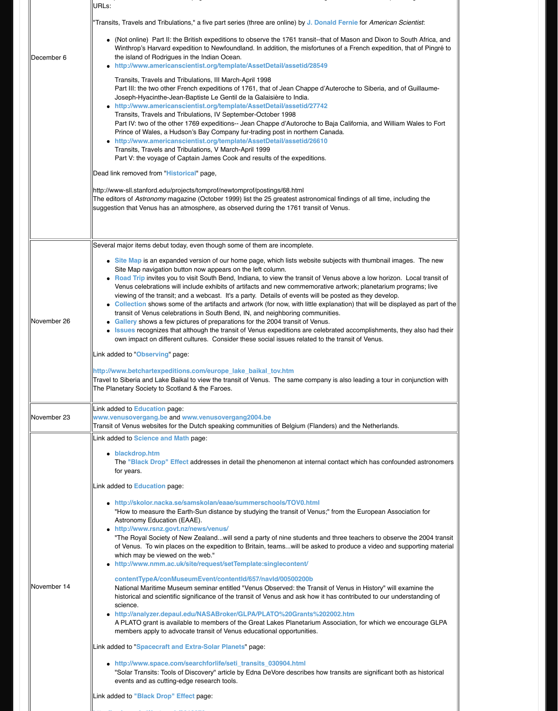| November 26 | Venus celebrations will include exhibits of artifacts and new commemorative<br>viewing of the transit; and a webcast. It's a party. Details of events will be p<br>• Collection shows some of the artifacts and artwork (for now, with little expla<br>transit of Venus celebrations in South Bend, IN, and neighboring communitie<br>Gallery shows a few pictures of preparations for the 2004 transit of Venus.<br>• Issues recognizes that although the transit of Venus expeditions are celebra<br>own impact on different cultures. Consider these social issues related to the<br>Link added to "Observing" page:                                                                                                                                                                                                                                                                                                                                                                                                                                                                                                                                                                                                                                                                                                                                                                                                                                         |
|-------------|-----------------------------------------------------------------------------------------------------------------------------------------------------------------------------------------------------------------------------------------------------------------------------------------------------------------------------------------------------------------------------------------------------------------------------------------------------------------------------------------------------------------------------------------------------------------------------------------------------------------------------------------------------------------------------------------------------------------------------------------------------------------------------------------------------------------------------------------------------------------------------------------------------------------------------------------------------------------------------------------------------------------------------------------------------------------------------------------------------------------------------------------------------------------------------------------------------------------------------------------------------------------------------------------------------------------------------------------------------------------------------------------------------------------------------------------------------------------|
|             | http://www.betchartexpeditions.com/europe_lake_baikal_tov.htm<br>Travel to Siberia and Lake Baikal to view the transit of Venus. The same company<br>The Planetary Society to Scotland & the Faroes.                                                                                                                                                                                                                                                                                                                                                                                                                                                                                                                                                                                                                                                                                                                                                                                                                                                                                                                                                                                                                                                                                                                                                                                                                                                            |
| November 23 | Link added to Education page:<br>www.venusovergang.be and www.venusovergang2004.be<br>Transit of Venus websites for the Dutch speaking communities of Belgium (Flanders                                                                                                                                                                                                                                                                                                                                                                                                                                                                                                                                                                                                                                                                                                                                                                                                                                                                                                                                                                                                                                                                                                                                                                                                                                                                                         |
| November 14 | Link added to <b>Science and Math</b> page:<br>· blackdrop.htm<br>The "Black Drop" Effect addresses in detail the phenomenon at internal co<br>for years.<br>Link added to Education page:<br>• http://skolor.nacka.se/samskolan/eaae/summerschools/TOV0.html<br>"How to measure the Earth-Sun distance by studying the transit of Venus;" f<br>Astronomy Education (EAAE).<br>• http://www.rsnz.govt.nz/news/venus/<br>"The Royal Society of New Zealandwill send a party of nine students and<br>of Venus. To win places on the expedition to Britain, teams will be asked to<br>which may be viewed on the web."<br>• http://www.nmm.ac.uk/site/request/setTemplate:singlecontent/<br>contentTypeA/conMuseumEvent/contentId/657/navId/00500200b<br>National Maritime Museum seminar entitled "Venus Observed: the Transit of<br>historical and scientific significance of the transit of Venus and ask how it ha<br>science.<br>• http://analyzer.depaul.edu/NASABroker/GLPA/PLATO%20Grants%2020<br>A PLATO grant is available to members of the Great Lakes Planetarium Ass<br>members apply to advocate transit of Venus educational opportunities.<br>Link added to "Spacecraft and Extra-Solar Planets" page:<br>• http://www.space.com/searchforlife/seti_transits_030904.html<br>"Solar Transits: Tools of Discovery" article by Edna DeVore describes how tr<br>events and as cutting-edge research tools.<br>Link added to "Black Drop" Effect page: |

**http://arxiv.o[rg/pdf/astro-ph/031](http://old.transitofvenus.org/scimath.htm)0379**.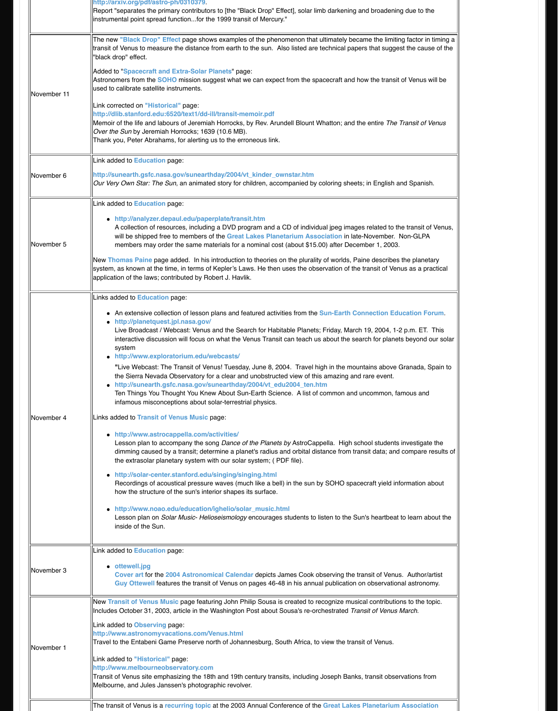| November 4 | Links added to Education page:<br>• An extensive collection of lesson plans and featured activities from the Sun-<br>• http://planetquest.jpl.nasa.gov/<br>Live Broadcast / Webcast: Venus and the Search for Habitable Planets; Frid<br>interactive discussion will focus on what the Venus Transit can teach us abo<br>system<br>• http://www.exploratorium.edu/webcasts/<br>"Live Webcast: The Transit of Venus! Tuesday, June 8, 2004. Travel high in<br>the Sierra Nevada Observatory for a clear and unobstructed view of this am<br>• http://sunearth.gsfc.nasa.gov/sunearthday/2004/vt_edu2004_ten.htm<br>Ten Things You Thought You Knew About Sun-Earth Science. A list of come<br>infamous misconceptions about solar-terrestrial physics.<br>Links added to Transit of Venus Music page:<br>• http://www.astrocappella.com/activities/<br>Lesson plan to accompany the song Dance of the Planets by AstroCappella<br>dimming caused by a transit; determine a planet's radius and orbital distanc<br>the extrasolar planetary system with our solar system; (PDF file).<br>• http://solar-center.stanford.edu/singing/singing.html<br>Recordings of acoustical pressure waves (much like a bell) in the sun by SC<br>how the structure of the sun's interior shapes its surface.<br>• http://www.noao.edu/education/ighelio/solar_music.html<br>esson plan on Solar Music- Helioseismology encourages students to listen<br>inside of the Sun. |
|------------|------------------------------------------------------------------------------------------------------------------------------------------------------------------------------------------------------------------------------------------------------------------------------------------------------------------------------------------------------------------------------------------------------------------------------------------------------------------------------------------------------------------------------------------------------------------------------------------------------------------------------------------------------------------------------------------------------------------------------------------------------------------------------------------------------------------------------------------------------------------------------------------------------------------------------------------------------------------------------------------------------------------------------------------------------------------------------------------------------------------------------------------------------------------------------------------------------------------------------------------------------------------------------------------------------------------------------------------------------------------------------------------------------------------------------------------------------------|
| November 3 | Link added to Education page:<br>• ottewell.jpg<br>Cover art for the 2004 Astronomical Calendar depicts James Cook obser<br>Guy Ottewell features the transit of Venus on pages 46-48 in his annual pul                                                                                                                                                                                                                                                                                                                                                                                                                                                                                                                                                                                                                                                                                                                                                                                                                                                                                                                                                                                                                                                                                                                                                                                                                                                    |
| November 1 | New Transit of Venus Music page featuring John Philip Sousa is created to recogr<br>Includes October 31, 2003, article in the Washington Post about Sousa's re-orchest<br>Link added to Observing page:<br>http://www.astronomyvacations.com/Venus.html<br>Travel to the Entabeni Game Preserve north of Johannesburg, South Africa, to view<br>Link added to "Historical" page:<br>http://www.melbourneobservatory.com<br>Transit of Venus site emphasizing the 18th and 19th century transits, including Jose<br>Melbourne, and Jules Janssen's photographic revolver.                                                                                                                                                                                                                                                                                                                                                                                                                                                                                                                                                                                                                                                                                                                                                                                                                                                                                   |
|            | The transit of Venus is a recurring topic at the 2003 Annual Conference of the Gre                                                                                                                                                                                                                                                                                                                                                                                                                                                                                                                                                                                                                                                                                                                                                                                                                                                                                                                                                                                                                                                                                                                                                                                                                                                                                                                                                                         |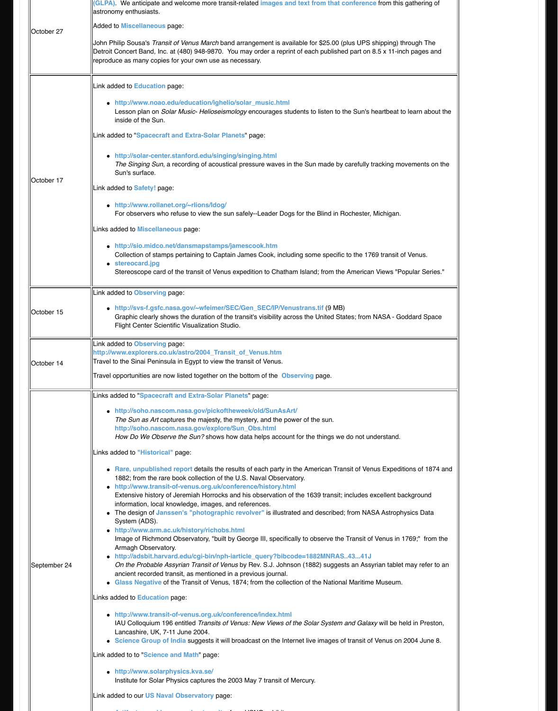|                   | Link added to Observing page:                                                                                                                                                                                                                                                                                                                                                                                                                                                                                                                                                                                                                                                                                                                                                                                                                                                                                          |
|-------------------|------------------------------------------------------------------------------------------------------------------------------------------------------------------------------------------------------------------------------------------------------------------------------------------------------------------------------------------------------------------------------------------------------------------------------------------------------------------------------------------------------------------------------------------------------------------------------------------------------------------------------------------------------------------------------------------------------------------------------------------------------------------------------------------------------------------------------------------------------------------------------------------------------------------------|
| October 15        | • http://svs-f.gsfc.nasa.gov/~wfeimer/SEC/Gen_SEC/IP/Venustrans.tif (9<br>Graphic clearly shows the duration of the transit's visibility across the United<br>Flight Center Scientific Visualization Studio.                                                                                                                                                                                                                                                                                                                                                                                                                                                                                                                                                                                                                                                                                                           |
|                   | Link added to Observing page:<br>http://www.explorers.co.uk/astro/2004_Transit_of_Venus.htm                                                                                                                                                                                                                                                                                                                                                                                                                                                                                                                                                                                                                                                                                                                                                                                                                            |
| <b>October 14</b> | Travel to the Sinai Peninsula in Egypt to view the transit of Venus.                                                                                                                                                                                                                                                                                                                                                                                                                                                                                                                                                                                                                                                                                                                                                                                                                                                   |
|                   | Travel opportunities are now listed together on the bottom of the Observing page.                                                                                                                                                                                                                                                                                                                                                                                                                                                                                                                                                                                                                                                                                                                                                                                                                                      |
|                   | Links added to "Spacecraft and Extra-Solar Planets" page:                                                                                                                                                                                                                                                                                                                                                                                                                                                                                                                                                                                                                                                                                                                                                                                                                                                              |
|                   | • http://soho.nascom.nasa.gov/pickoftheweek/old/SunAsArt/<br>The Sun as Art captures the majesty, the mystery, and the power of the sun.<br>http://soho.nascom.nasa.gov/explore/Sun_Obs.html<br>How Do We Observe the Sun? shows how data helps account for the things                                                                                                                                                                                                                                                                                                                                                                                                                                                                                                                                                                                                                                                 |
|                   | Links added to "Historical" page:                                                                                                                                                                                                                                                                                                                                                                                                                                                                                                                                                                                                                                                                                                                                                                                                                                                                                      |
| September 24      | • Rare, unpublished report details the results of each party in the American<br>1882; from the rare book collection of the U.S. Naval Observatory.<br>• http://www.transit-of-venus.org.uk/conference/history.html<br>Extensive history of Jeremiah Horrocks and his observation of the 1639 tran<br>information, local knowledge, images, and references.<br>The design of Janssen's "photographic revolver" is illustrated and descri<br>System (ADS).<br>• http://www.arm.ac.uk/history/richobs.html<br>Image of Richmond Observatory, "built by George III, specifically to observe<br>Armagh Observatory.<br>• http://adsbit.harvard.edu/cgi-bin/nph-iarticle_query?bibcode=1882MNF<br>On the Probable Assyrian Transit of Venus by Rev. S.J. Johnson (1882) sug<br>ancient recorded transit, as mentioned in a previous journal.<br>Glass Negative of the Transit of Venus, 1874; from the collection of the Nat |
|                   | Links added to Education page:                                                                                                                                                                                                                                                                                                                                                                                                                                                                                                                                                                                                                                                                                                                                                                                                                                                                                         |
|                   | • http://www.transit-of-venus.org.uk/conference/index.html<br>IAU Colloquium 196 entitled Transits of Venus: New Views of the Solar Syst<br>Lancashire, UK, 7-11 June 2004.<br>• Science Group of India suggests it will broadcast on the Internet live image                                                                                                                                                                                                                                                                                                                                                                                                                                                                                                                                                                                                                                                          |
|                   | Link added to to "Science and Math" page:                                                                                                                                                                                                                                                                                                                                                                                                                                                                                                                                                                                                                                                                                                                                                                                                                                                                              |
|                   | http://www.solarphysics.kva.se/<br>Institute for Solar Physics captures the 2003 May 7 transit of Mercury.                                                                                                                                                                                                                                                                                                                                                                                                                                                                                                                                                                                                                                                                                                                                                                                                             |
|                   | Link added to our US Naval Observatory page:                                                                                                                                                                                                                                                                                                                                                                                                                                                                                                                                                                                                                                                                                                                                                                                                                                                                           |
|                   |                                                                                                                                                                                                                                                                                                                                                                                                                                                                                                                                                                                                                                                                                                                                                                                                                                                                                                                        |

**[Artifacts used in measuring transits](http://soho.nascom.nasa.gov/explore/Sun_Obs.html)**; from USNO exhibits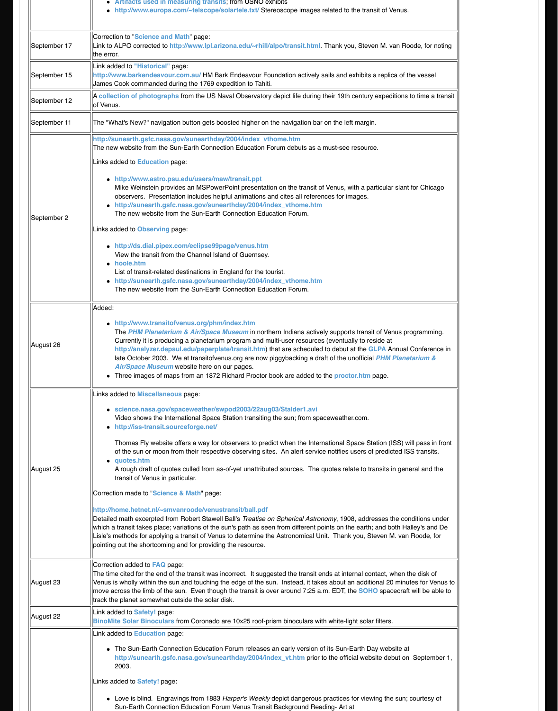|           | ● http://suneartn.gsrc.nasa.gov/suneartnday/2004/Index vtnome.ntm<br>The new website from the Sun-Earth Connection Education Forum.                                                                                                                                                                                                                                                                                                                                                                                                                                                                                                                                                                                                                                                                                                                                                                                                                                              |
|-----------|----------------------------------------------------------------------------------------------------------------------------------------------------------------------------------------------------------------------------------------------------------------------------------------------------------------------------------------------------------------------------------------------------------------------------------------------------------------------------------------------------------------------------------------------------------------------------------------------------------------------------------------------------------------------------------------------------------------------------------------------------------------------------------------------------------------------------------------------------------------------------------------------------------------------------------------------------------------------------------|
| August 26 | Added:<br>• http://www.transitofvenus.org/phm/index.htm<br>The PHM Planetarium & Air/Space Museum in northern Indiana actively s<br>Currently it is producing a planetarium program and multi-user resources (even)<br>http://analyzer.depaul.edu/paperplate/transit.htm) that are scheduled to<br>late October 2003. We at transitofvenus.org are now piggybacking a draft o<br>Air/Space Museum website here on our pages.<br>Three images of maps from an 1872 Richard Proctor book are added to the                                                                                                                                                                                                                                                                                                                                                                                                                                                                          |
| August 25 | Links added to Miscellaneous page:<br>• science.nasa.gov/spaceweather/swpod2003/22aug03/Stalder1.avi<br>Video shows the International Space Station transiting the sun; from spacew<br>• http://iss-transit.sourceforge.net/<br>Thomas Fly website offers a way for observers to predict when the Internation<br>of the sun or moon from their respective observing sites. An alert service no<br>• quotes.htm<br>A rough draft of quotes culled from as-of-yet unattributed sources. The quot<br>transit of Venus in particular.<br>Correction made to "Science & Math" page:<br>http://home.hetnet.nl/~smvanroode/venustransit/ball.pdf<br>Detailed math excerpted from Robert Stawell Ball's Treatise on Spherical Astronom<br>which a transit takes place; variations of the sun's path as seen from different points<br>Lisle's methods for applying a transit of Venus to determine the Astronomical Unit.<br>pointing out the shortcoming and for providing the resource. |
| August 23 | Correction added to <b>FAQ</b> page:<br>The time cited for the end of the transit was incorrect. It suggested the transit ends<br>Venus is wholly within the sun and touching the edge of the sun. Instead, it takes a<br>move across the limb of the sun. Even though the transit is over around 7:25 a.m.<br>track the planet somewhat outside the solar disk.                                                                                                                                                                                                                                                                                                                                                                                                                                                                                                                                                                                                                 |
| August 22 | Link added to <b>Safety!</b> page:<br>BinoMite Solar Binoculars from Coronado are 10x25 roof-prism binoculars with w                                                                                                                                                                                                                                                                                                                                                                                                                                                                                                                                                                                                                                                                                                                                                                                                                                                             |
|           | Link added to <b>Education</b> page:<br>• The Sun-Earth Connection Education Forum releases an early version of its<br>http://sunearth.gsfc.nasa.gov/sunearthday/2004/index_vt.htm prior to the<br>2003.<br>Links added to Safety! page:<br>• Love is blind. Engravings from 1883 Harper's Weekly depict dangerous pra<br>Sun-Earth Connection Education Forum Venus Transit Background Reading                                                                                                                                                                                                                                                                                                                                                                                                                                                                                                                                                                                  |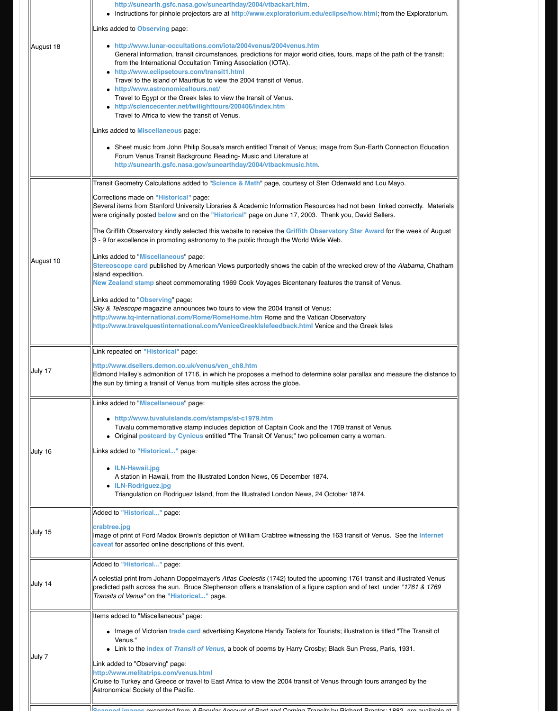| Links added to "Observing" page:<br>Sky & Telescope magazine announces two tours to view the 2004 transit of Venus:<br>http://www.tq-international.com/Rome/RomeHome.htm Rome and the Vatican Q<br>http://www.travelquestinternational.com/VeniceGreekIslefeedback.html Venice<br>Link repeated on "Historical" page:<br>http://www.dsellers.demon.co.uk/venus/ven_ch8.htm |
|----------------------------------------------------------------------------------------------------------------------------------------------------------------------------------------------------------------------------------------------------------------------------------------------------------------------------------------------------------------------------|
|                                                                                                                                                                                                                                                                                                                                                                            |
|                                                                                                                                                                                                                                                                                                                                                                            |
|                                                                                                                                                                                                                                                                                                                                                                            |
|                                                                                                                                                                                                                                                                                                                                                                            |
|                                                                                                                                                                                                                                                                                                                                                                            |
|                                                                                                                                                                                                                                                                                                                                                                            |
|                                                                                                                                                                                                                                                                                                                                                                            |
| July 17<br>Edmond Halley's admonition of 1716, in which he proposes a method to determine                                                                                                                                                                                                                                                                                  |
| the sun by timing a transit of Venus from multiple sites across the globe.                                                                                                                                                                                                                                                                                                 |
| Links added to "Miscellaneous" page:                                                                                                                                                                                                                                                                                                                                       |
| • http://www.tuvaluislands.com/stamps/st-c1979.htm                                                                                                                                                                                                                                                                                                                         |
| Tuvalu commemorative stamp includes depiction of Captain Cook and the 1                                                                                                                                                                                                                                                                                                    |
| • Original <b>postcard by Cynicus</b> entitled "The Transit Of Venus;" two policem                                                                                                                                                                                                                                                                                         |
| Links added to "Historical" page:<br>July 16                                                                                                                                                                                                                                                                                                                               |
| • ILN-Hawaii.jpg                                                                                                                                                                                                                                                                                                                                                           |
| A station in Hawaii, from the Illustrated London News, 05 December 1874.                                                                                                                                                                                                                                                                                                   |
| • ILN-Rodriguez.jpg                                                                                                                                                                                                                                                                                                                                                        |
| Triangulation on Rodriguez Island, from the Illustrated London News, 24 Oct                                                                                                                                                                                                                                                                                                |
| Added to "Historical" page:                                                                                                                                                                                                                                                                                                                                                |
| crabtree.jpg                                                                                                                                                                                                                                                                                                                                                               |
| July 15<br>Image of print of Ford Madox Brown's depiction of William Crabtree witnessing the                                                                                                                                                                                                                                                                               |
| caveat for assorted online descriptions of this event.                                                                                                                                                                                                                                                                                                                     |
| Added to "Historical" page:                                                                                                                                                                                                                                                                                                                                                |
| A celestial print from Johann Doppelmayer's Atlas Coelestis (1742) touted the upco                                                                                                                                                                                                                                                                                         |
| July 14<br>predicted path across the sun. Bruce Stephenson offers a translation of a figure ca                                                                                                                                                                                                                                                                             |
| Transits of Venus" on the "Historical" page.                                                                                                                                                                                                                                                                                                                               |
| Items added to "Miscellaneous" page:                                                                                                                                                                                                                                                                                                                                       |
|                                                                                                                                                                                                                                                                                                                                                                            |
| • Image of Victorian trade card advertising Keystone Handy Tablets for Touris<br>Venus."                                                                                                                                                                                                                                                                                   |
| • Link to the index of Transit of Venus, a book of poems by Harry Crosby; B                                                                                                                                                                                                                                                                                                |
| July 7<br>Link added to "Observing" page:                                                                                                                                                                                                                                                                                                                                  |
| http://www.melitatrips.com/venus.html                                                                                                                                                                                                                                                                                                                                      |
| Cruise to Turkey and Greece or travel to East Africa to view the 2004 transit of Vent                                                                                                                                                                                                                                                                                      |
| Astronomical Society of the Pacific.                                                                                                                                                                                                                                                                                                                                       |
|                                                                                                                                                                                                                                                                                                                                                                            |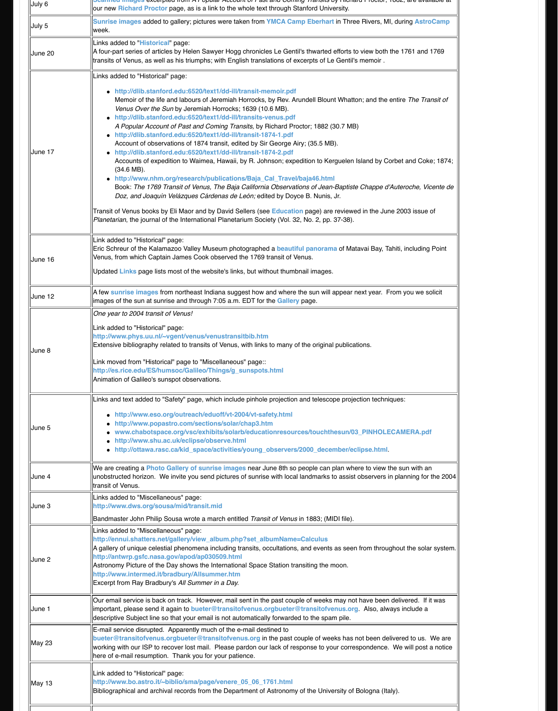| June 12 | A few sunrise images from northeast Indiana suggest how and where the sun will<br>limages of the sun at sunrise and through 7:05 a.m. EDT for the <b>Gallery</b> page.                                                                                                                                                                                                                                                                                |
|---------|-------------------------------------------------------------------------------------------------------------------------------------------------------------------------------------------------------------------------------------------------------------------------------------------------------------------------------------------------------------------------------------------------------------------------------------------------------|
| June 8  | One year to 2004 transit of Venus!<br>Link added to "Historical" page:<br>http://www.phys.uu.nl/~vgent/venus/venustransitbib.htm<br>Extensive bibliography related to transits of Venus, with links to many of the original<br>Link moved from "Historical" page to "Miscellaneous" page::<br>http://es.rice.edu/ES/humsoc/Galileo/Things/g_sunspots.html<br>Animation of Galileo's sunspot observations.                                             |
| June 5  | Links and text added to "Safety" page, which include pinhole projection and telesco<br>http://www.eso.org/outreach/eduoff/vt-2004/vt-safety.html<br>http://www.popastro.com/sections/solar/chap3.htm<br>www.chabotspace.org/vsc/exhibits/solarb/educationresources/touchth<br>http://www.shu.ac.uk/eclipse/observe.html<br>• http://ottawa.rasc.ca/kid_space/activities/young_observers/2000_decel                                                    |
| June 4  | We are creating a Photo Gallery of sunrise images near June 8th so people can<br>unobstructed horizon. We invite you send pictures of sunrise with local landmarks t<br>transit of Venus.                                                                                                                                                                                                                                                             |
| June 3  | Links added to "Miscellaneous" page:<br>http://www.dws.org/sousa/mid/transit.mid<br>Bandmaster John Philip Sousa wrote a march entitled Transit of Venus in 1883; (MI                                                                                                                                                                                                                                                                                 |
| June 2  | Links added to "Miscellaneous" page:<br>http://ennui.shatters.net/gallery/view_album.php?set_albumName=Calculus<br>A gallery of unique celestial phenomena including transits, occultations, and events<br>http://antwrp.gsfc.nasa.gov/apod/ap030509.html<br>Astronomy Picture of the Day shows the International Space Station transiting the r<br>http://www.intermed.it/bradbury/Allsummer.htm<br>Excerpt from Ray Bradbury's All Summer in a Day. |
| June 1  | Our email service is back on track. However, mail sent in the past couple of weeks<br>important, please send it again to bueter@transitofvenus.orgbueter@transitofve<br>descriptive Subject line so that your email is not automatically forwarded to the spar                                                                                                                                                                                        |
| May 23  | E-mail service disrupted. Apparently much of the e-mail destined to<br>bueter@transitofvenus.orgbueter@transitofvenus.org in the past couple of wee<br>working with our ISP to recover lost mail. Please pardon our lack of response to yo<br>here of e-mail resumption. Thank you for your patience.                                                                                                                                                 |
| May 13  | Link added to "Historical" page:<br>http://www.bo.astro.it/~biblio/sma/page/venere_05_06_1761.html<br>Bibliographical and archival records from the Department of Astronomy of the Unive                                                                                                                                                                                                                                                              |
|         |                                                                                                                                                                                                                                                                                                                                                                                                                                                       |